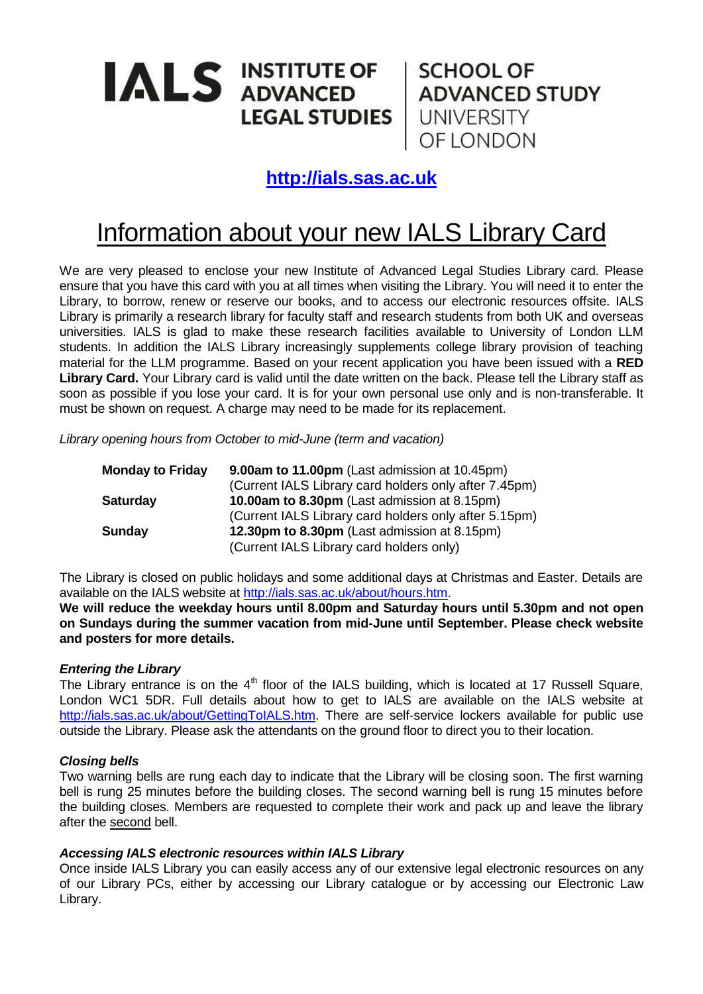# **IALS INSTITUTE OF LEGAL STUDIES**

**SCHOOL OF ADVANCED STUDY** UNIVERSITY OF LONDON

### **[http://ials.sas.ac.uk](http://ials.sas.ac.uk/)**

## Information about your new IALS Library Card

We are very pleased to enclose your new Institute of Advanced Legal Studies Library card. Please ensure that you have this card with you at all times when visiting the Library. You will need it to enter the Library, to borrow, renew or reserve our books, and to access our electronic resources offsite. IALS Library is primarily a research library for faculty staff and research students from both UK and overseas universities. IALS is glad to make these research facilities available to University of London LLM students. In addition the IALS Library increasingly supplements college library provision of teaching material for the LLM programme. Based on your recent application you have been issued with a **RED Library Card.** Your Library card is valid until the date written on the back. Please tell the Library staff as soon as possible if you lose your card. It is for your own personal use only and is non-transferable. It must be shown on request. A charge may need to be made for its replacement.

*Library opening hours from October to mid-June (term and vacation)*

| <b>Monday to Friday</b> | <b>9.00am to 11.00pm</b> (Last admission at 10.45pm)  |
|-------------------------|-------------------------------------------------------|
|                         | (Current IALS Library card holders only after 7.45pm) |
| <b>Saturday</b>         | 10.00am to 8.30pm (Last admission at 8.15pm)          |
|                         | (Current IALS Library card holders only after 5.15pm) |
| Sunday                  | 12.30pm to 8.30pm (Last admission at 8.15pm)          |
|                         | (Current IALS Library card holders only)              |

The Library is closed on public holidays and some additional days at Christmas and Easter. Details are available on the IALS website at [http://ials.sas.ac.uk/about/hours.htm.](http://ials.sas.ac.uk/about/hours.htm)

**We will reduce the weekday hours until 8.00pm and Saturday hours until 5.30pm and not open on Sundays during the summer vacation from mid-June until September. Please check website and posters for more details.**

#### *Entering the Library*

The Library entrance is on the 4<sup>th</sup> floor of the IALS building, which is located at 17 Russell Square, London WC1 5DR. Full details about how to get to IALS are available on the IALS website at [http://ials.sas.ac.uk/about/GettingToIALS.htm.](http://ials.sas.ac.uk/about/GettingToIALS.htm) There are self-service lockers available for public use outside the Library. Please ask the attendants on the ground floor to direct you to their location.

#### *Closing bells*

Two warning bells are rung each day to indicate that the Library will be closing soon. The first warning bell is rung 25 minutes before the building closes. The second warning bell is rung 15 minutes before the building closes. Members are requested to complete their work and pack up and leave the library after the second bell.

#### *Accessing IALS electronic resources within IALS Library*

Once inside IALS Library you can easily access any of our extensive legal electronic resources on any of our Library PCs, either by accessing our Library catalogue or by accessing our Electronic Law Library.